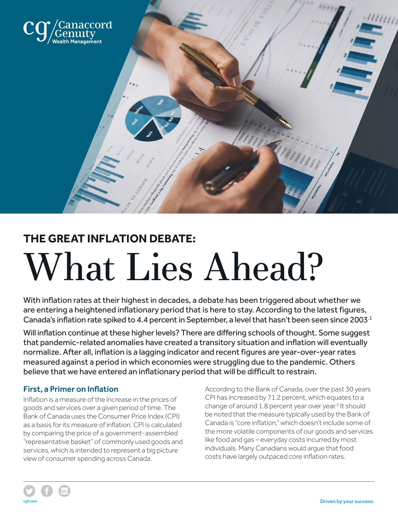

# **THE GREAT INFLATION DEBATE:** What Lies Ahead?

With inflation rates at their highest in decades, a debate has been triggered about whether we are entering a heightened inflationary period that is here to stay. According to the latest figures, Canada's inflation rate spiked to 4.4 percent in September, a level that hasn't been seen since 2003.1

Will inflation continue at these higher levels? There are differing schools of thought. Some suggest that pandemic-related anomalies have created a transitory situation and inflation will eventually normalize. After all, inflation is a lagging indicator and recent figures are year-over-year rates measured against a period in which economies were struggling due to the pandemic. Others believe that we have entered an inflationary period that will be difficult to restrain.

# First, a Primer on Inflation

Inflation is a measure of the increase in the prices of goods and services over a given period of time. The Bank of Canada uses the Consumer Price Index (CPI) as a basis for its measure of inflation. CPI is calculated by comparing the price of a government-assembled "representative basket" of commonly used goods and services, which is intended to represent a big picture view of consumer spending across Canada.

According to the Bank of Canada, over the past 30 years CPI has increased by 71.2 percent, which equates to a change of around 1.8 percent year over year.<sup>2</sup> It should be noted that the measure typically used by the Bank of Canada is "core inflation," which doesn't include some of the more volatile components of our goods and services like food and gas – everyday costs incurred by most individuals. Many Canadians would argue that food costs have largely outpaced core inflation rates.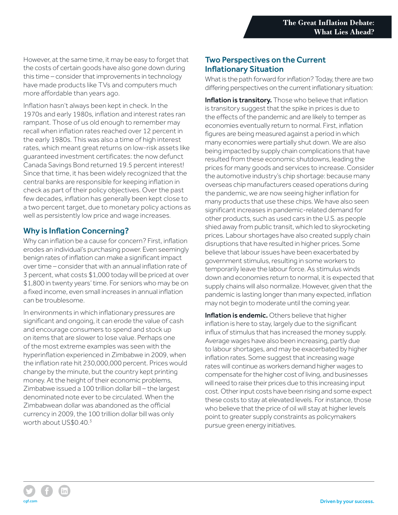However, at the same time, it may be easy to forget that the costs of certain goods have also gone down during this time – consider that improvements in technology have made products like TVs and computers much more affordable than years ago.

Inflation hasn't always been kept in check. In the 1970s and early 1980s, inflation and interest rates ran rampant. Those of us old enough to remember may recall when inflation rates reached over 12 percent in the early 1980s. This was also a time of high interest rates, which meant great returns on low-risk assets like guaranteed investment certificates: the now defunct Canada Savings Bond returned 19.5 percent interest! Since that time, it has been widely recognized that the central banks are responsible for keeping inflation in check as part of their policy objectives. Over the past few decades, inflation has generally been kept close to a two percent target, due to monetary policy actions as well as persistently low price and wage increases.

# Why is Inflation Concerning?

Why can inflation be a cause for concern? First, inflation erodes an individual's purchasing power. Even seemingly benign rates of inflation can make a significant impact over time – consider that with an annual inflation rate of 3 percent, what costs \$1,000 today will be priced at over \$1,800 in twenty years' time. For seniors who may be on a fixed income, even small increases in annual inflation can be troublesome.

In environments in which inflationary pressures are significant and ongoing, it can erode the value of cash and encourage consumers to spend and stock up on items that are slower to lose value. Perhaps one of the most extreme examples was seen with the hyperinflation experienced in Zimbabwe in 2009, when the inflation rate hit 230,000,000 percent. Prices would change by the minute, but the country kept printing money. At the height of their economic problems, Zimbabwe issued a 100 trillion dollar bill – the largest denominated note ever to be circulated. When the Zimbabwean dollar was abandoned as the official currency in 2009, the 100 trillion dollar bill was only worth about US\$0.40.3

#### Two Perspectives on the Current Inflationary Situation

What is the path forward for inflation? Today, there are two differing perspectives on the current inflationary situation:

Inflation is transitory. Those who believe that inflation is transitory suggest that the spike in prices is due to the effects of the pandemic and are likely to temper as economies eventually return to normal. First, inflation figures are being measured against a period in which many economies were partially shut down. We are also being impacted by supply chain complications that have resulted from these economic shutdowns, leading the prices for many goods and services to increase. Consider the automotive industry's chip shortage: because many overseas chip manufacturers ceased operations during the pandemic, we are now seeing higher inflation for many products that use these chips. We have also seen significant increases in pandemic-related demand for other products, such as used cars in the U.S. as people shied away from public transit, which led to skyrocketing prices. Labour shortages have also created supply chain disruptions that have resulted in higher prices. Some believe that labour issues have been exacerbated by government stimulus, resulting in some workers to temporarily leave the labour force. As stimulus winds down and economies return to normal, it is expected that supply chains will also normalize. However, given that the pandemic is lasting longer than many expected, inflation may not begin to moderate until the coming year.

Inflation is endemic. Others believe that higher inflation is here to stay, largely due to the significant influx of stimulus that has increased the money supply. Average wages have also been increasing, partly due to labour shortages, and may be exacerbated by higher inflation rates. Some suggest that increasing wage rates will continue as workers demand higher wages to compensate for the higher cost of living, and businesses will need to raise their prices due to this increasing input cost. Other input costs have been rising and some expect these costs to stay at elevated levels. For instance, those who believe that the price of oil will stay at higher levels point to greater supply constraints as policymakers pursue green energy initiatives.